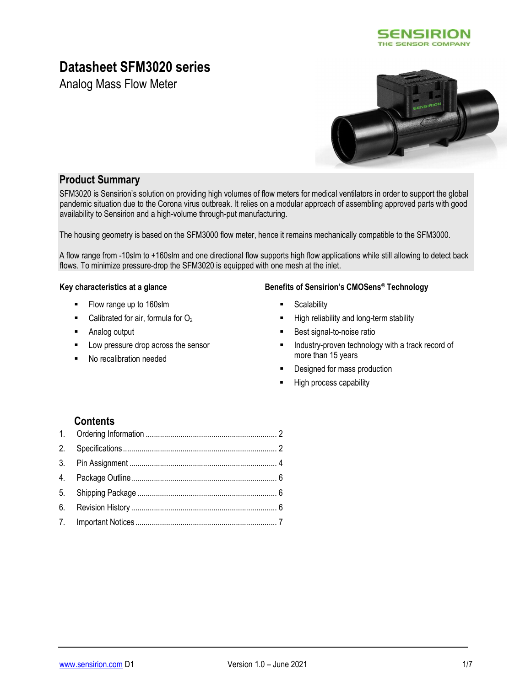

# Datasheet SFM3020 series

Analog Mass Flow Meter



## Product Summary

SFM3020 is Sensirion's solution on providing high volumes of flow meters for medical ventilators in order to support the global pandemic situation due to the Corona virus outbreak. It relies on a modular approach of assembling approved parts with good availability to Sensirion and a high-volume through-put manufacturing.

The housing geometry is based on the SFM3000 flow meter, hence it remains mechanically compatible to the SFM3000.

A flow range from -10slm to +160slm and one directional flow supports high flow applications while still allowing to detect back flows. To minimize pressure-drop the SFM3020 is equipped with one mesh at the inlet.

- Flow range up to 160slm
- Calibrated for air, formula for  $O<sub>2</sub>$
- Analog output
- Low pressure drop across the sensor
- No recalibration needed

#### Key characteristics at a glance Benefits of Sensirion's CMOSens® Technology

- **Scalability**
- High reliability and long-term stability
- Best signal-to-noise ratio
- **Industry-proven technology with a track record of** more than 15 years
- **-** Designed for mass production
- **High process capability**

## **Contents**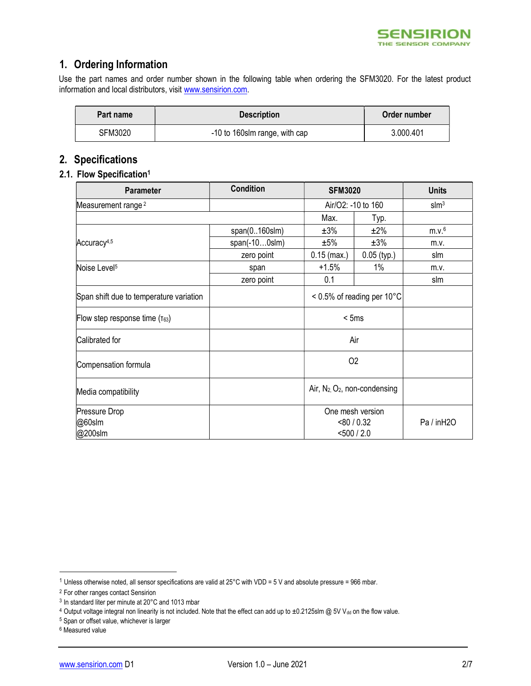

## 1. Ordering Information

Use the part names and order number shown in the following table when ordering the SFM3020. For the latest product information and local distributors, visit www.sensirion.com.

| Part name | <b>Description</b>            | Order number |
|-----------|-------------------------------|--------------|
| SFM3020   | -10 to 160slm range, with cap | 3.000.401    |

## 2. Specifications

## 2.1. Flow Specification<sup>1</sup>

| <b>Parameter</b>                        | <b>Condition</b>    | <b>SFM3020</b>                      |                               | <b>Units</b>      |
|-----------------------------------------|---------------------|-------------------------------------|-------------------------------|-------------------|
| Measurement range <sup>2</sup>          |                     |                                     | Air/O2: -10 to 160            | slm <sup>3</sup>  |
|                                         |                     | Max.                                | Typ.                          |                   |
|                                         | $span(0160$ slm $)$ | ±3%                                 | ±2%                           | m.v. <sup>6</sup> |
| Accuracy <sup>4,5</sup>                 | $span(-100s/m)$     | ±5%                                 | ±3%                           | m.v.              |
|                                         | zero point          | $0.15$ (max.)                       | $0.05$ (typ.)                 | slm               |
| Noise Level <sup>5</sup>                | span                | $+1.5%$                             | $1\%$                         | m.v.              |
|                                         | zero point          | 0.1                                 |                               | slm               |
| Span shift due to temperature variation |                     |                                     | $< 0.5\%$ of reading per 10°C |                   |
| Flow step response time $(\tau_{63})$   |                     |                                     | < 5ms                         |                   |
| Calibrated for                          |                     |                                     | Air                           |                   |
| Compensation formula                    |                     | O <sub>2</sub>                      |                               |                   |
| Media compatibility                     |                     | Air, $N_2$ , $O_2$ , non-condensing |                               |                   |
| Pressure Drop                           |                     |                                     | One mesh version              |                   |
| @60slm                                  |                     |                                     | < 80 / 0.32                   | Pa / inH2O        |
| @200slm                                 |                     |                                     | $<$ 500 / 2.0                 |                   |

<sup>1</sup> Unless otherwise noted, all sensor specifications are valid at 25°C with VDD = 5 V and absolute pressure = 966 mbar.

<sup>2</sup> For other ranges contact Sensirion

<sup>3</sup> In standard liter per minute at 20°C and 1013 mbar

<sup>4</sup> Output voltage integral non linearity is not included. Note that the effect can add up to ±0.2125slm @ 5V Vdd on the flow value.

<sup>5</sup> Span or offset value, whichever is larger

<sup>6</sup> Measured value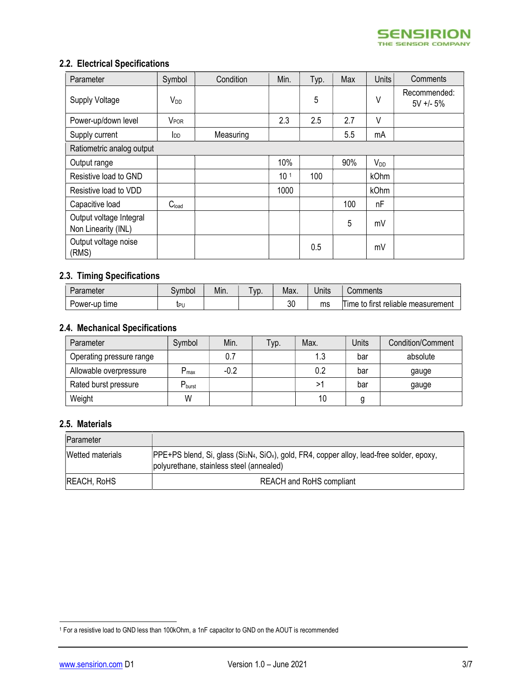## 2.2. Electrical Specifications

| Parameter                                      | Symbol            | Condition | Min.            | Typ. | Max | <b>Units</b> | Comments                    |
|------------------------------------------------|-------------------|-----------|-----------------|------|-----|--------------|-----------------------------|
| <b>Supply Voltage</b>                          | $V_{DD}$          |           |                 | 5    |     | V            | Recommended:<br>$5V + - 5%$ |
| Power-up/down level                            | <b>VPOR</b>       |           | 2.3             | 2.5  | 2.7 | V            |                             |
| Supply current                                 | <b>I</b> DD       | Measuring |                 |      | 5.5 | mA           |                             |
| Ratiometric analog output                      |                   |           |                 |      |     |              |                             |
| Output range                                   |                   |           | 10%             |      | 90% | $V_{DD}$     |                             |
| Resistive load to GND                          |                   |           | 10 <sup>1</sup> | 100  |     | kOhm         |                             |
| Resistive load to VDD                          |                   |           | 1000            |      |     | kOhm         |                             |
| Capacitive load                                | C <sub>load</sub> |           |                 |      | 100 | nF           |                             |
| Output voltage Integral<br>Non Linearity (INL) |                   |           |                 |      | 5   | mV           |                             |
| Output voltage noise<br>(RMS)                  |                   |           |                 | 0.5  |     | mV           |                             |

## 2.3. Timing Specifications

| Parameter     | .vmbol | Min. | VD. | Max. | Units | Comments                           |
|---------------|--------|------|-----|------|-------|------------------------------------|
| Power-up time | ւթլ    |      |     | 30   | ms    | Time to first reliable measurement |

## 2.4. Mechanical Specifications

| Parameter                | Symbol                      | Min.   | Typ. | Max. | Jnits | Condition/Comment |
|--------------------------|-----------------------------|--------|------|------|-------|-------------------|
| Operating pressure range |                             | 0.7    |      | 1.3  | bar   | absolute          |
| Allowable overpressure   | ּפ<br>max                   | $-0.2$ |      | 0.2  | bar   | gauge             |
| Rated burst pressure     | $\mathbf{D}_{\text{burst}}$ |        |      | >1   | bar   | gauge             |
| Weight                   | W                           |        |      | 10   | g     |                   |

#### 2.5. Materials

| Parameter               |                                                                                                                                                                |
|-------------------------|----------------------------------------------------------------------------------------------------------------------------------------------------------------|
| <b>Wetted materials</b> | PPE+PS blend, Si, glass (SisN <sub>4</sub> , SiO <sub>x</sub> ), gold, FR4, copper alloy, lead-free solder, epoxy,<br>polyurethane, stainless steel (annealed) |
| <b>REACH, RoHS</b>      | <b>REACH and RoHS compliant</b>                                                                                                                                |

<sup>1</sup> For a resistive load to GND less than 100kOhm, a 1nF capacitor to GND on the AOUT is recommended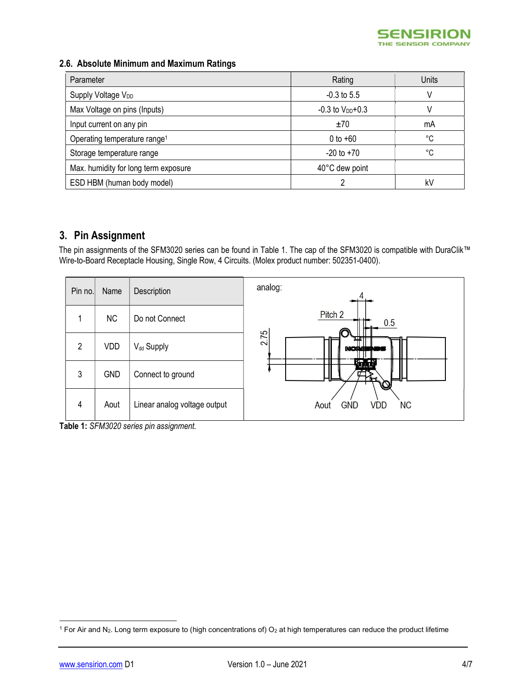

## 2.6. Absolute Minimum and Maximum Ratings

| Parameter                                | Rating                 | Units |
|------------------------------------------|------------------------|-------|
| Supply Voltage V <sub>DD</sub>           | $-0.3$ to 5.5          |       |
| Max Voltage on pins (Inputs)             | $-0.3$ to $V_{DD}+0.3$ |       |
| Input current on any pin                 | ±70                    | mA    |
| Operating temperature range <sup>1</sup> | 0 to $+60$             | °C    |
| Storage temperature range                | $-20$ to $+70$         | °C    |
| Max. humidity for long term exposure     | 40°C dew point         |       |
| ESD HBM (human body model)               |                        | kV    |

## 3. Pin Assignment

The pin assignments of the SFM3020 series can be found in Table 1. The cap of the SFM3020 is compatible with DuraClik™ Wire-to-Board Receptacle Housing, Single Row, 4 Circuits. (Molex product number: 502351-0400).

| Pin no.        | Name       | Description                  | analog:                                       |
|----------------|------------|------------------------------|-----------------------------------------------|
|                | <b>NC</b>  | Do not Connect               | Pitch <sub>2</sub><br>41 L<br>0.5             |
| $\mathfrak{p}$ | VDD        | V <sub>dd</sub> Supply       | 2.75<br><b>NORUSNIN</b>                       |
| 3              | <b>GND</b> | Connect to ground            | K.HR<br>---                                   |
| 4              | Aout       | Linear analog voltage output | <b>NC</b><br><b>GND</b><br><b>VDD</b><br>Aout |

Table 1: SFM3020 series pin assignment.

<sup>&</sup>lt;sup>1</sup> For Air and N<sub>2</sub>. Long term exposure to (high concentrations of) O<sub>2</sub> at high temperatures can reduce the product lifetime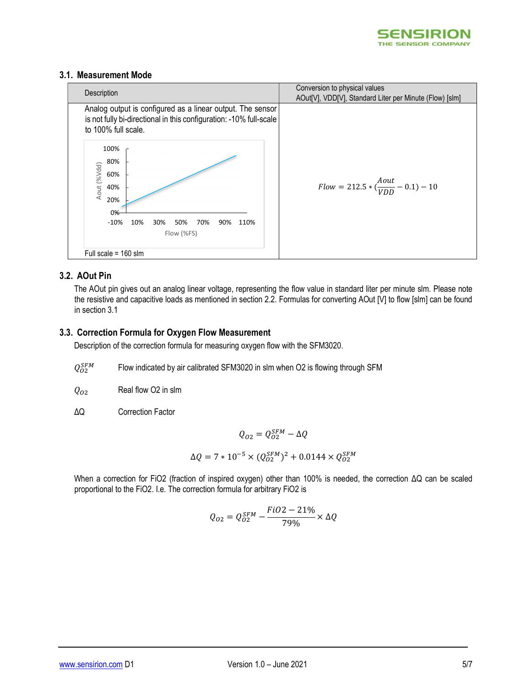

#### 3.1. Measurement Mode



### 3.2. AOut Pin

The AOut pin gives out an analog linear voltage, representing the flow value in standard liter per minute slm. Please note the resistive and capacitive loads as mentioned in section 2.2. Formulas for converting AOut [V] to flow [slm] can be found in section 3.1

#### 3.3. Correction Formula for Oxygen Flow Measurement

Description of the correction formula for measuring oxygen flow with the SFM3020.

 $Q_{O2}^{SFM}$ Flow indicated by air calibrated SFM3020 in slm when O2 is flowing through SFM

 $Q_{O2}$  Real flow O2 in slm

ΔQ Correction Factor

 $Q_{O2} = Q_{O2}^{SFM} - \Delta Q$ 

$$
\Delta Q = 7 * 10^{-5} \times (Q_{O2}^{SFM})^2 + 0.0144 \times Q_{O2}^{SFM}
$$

When a correction for FiO2 (fraction of inspired oxygen) other than 100% is needed, the correction ΔQ can be scaled proportional to the FiO2. I.e. The correction formula for arbitrary FiO2 is

$$
Q_{O2}=Q_{O2}^{SFM}-\frac{FiO2-21\%}{79\%}\times\Delta Q
$$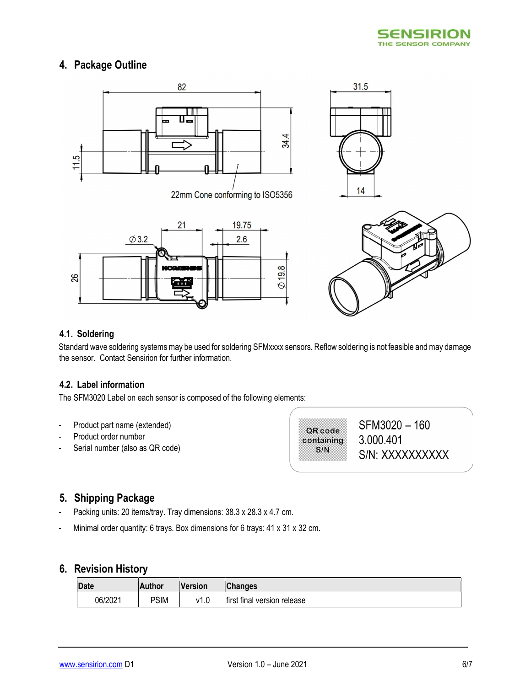

## 4. Package Outline



22mm Cone conforming to ISO5356







### 4.1. Soldering

Standard wave soldering systems may be used for soldering SFMxxxx sensors. Reflow soldering is not feasible and may damage the sensor. Contact Sensirion for further information.

## 4.2. Label information

The SFM3020 Label on each sensor is composed of the following elements:

- Product part name (extended)
- Product order number
- Serial number (also as QR code)

QR code containing  $S/N$ 

SFM3020-160 3.000.401 S/N: XXXXXXXXXX

## 5. Shipping Package

- Packing units: 20 items/tray. Tray dimensions: 38.3 x 28.3 x 4.7 cm.
- Minimal order quantity: 6 trays. Box dimensions for 6 trays: 41 x 31 x 32 cm.

## 6. Revision History

| Date    | Author      | Version | Changes                     |
|---------|-------------|---------|-----------------------------|
| 06/2021 | <b>PSIM</b> | , 11    | first final version release |